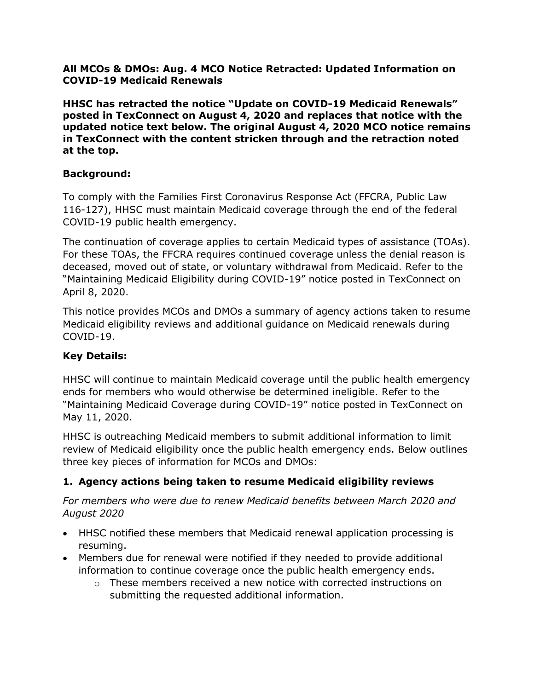**All MCOs & DMOs: Aug. 4 MCO Notice Retracted: Updated Information on COVID-19 Medicaid Renewals**

**HHSC has retracted the notice "Update on COVID-19 Medicaid Renewals" posted in TexConnect on August 4, 2020 and replaces that notice with the updated notice text below. The original August 4, 2020 MCO notice remains in TexConnect with the content stricken through and the retraction noted at the top.**

#### **Background:**

To comply with the Families First Coronavirus Response Act (FFCRA, Public Law 116-127), HHSC must maintain Medicaid coverage through the end of the federal COVID-19 public health emergency.

The continuation of coverage applies to certain Medicaid types of assistance (TOAs). For these TOAs, the FFCRA requires continued coverage unless the denial reason is deceased, moved out of state, or voluntary withdrawal from Medicaid. Refer to the "Maintaining Medicaid Eligibility during COVID-19" notice posted in TexConnect on April 8, 2020.

This notice provides MCOs and DMOs a summary of agency actions taken to resume Medicaid eligibility reviews and additional guidance on Medicaid renewals during COVID-19.

#### **Key Details:**

HHSC will continue to maintain Medicaid coverage until the public health emergency ends for members who would otherwise be determined ineligible. Refer to the "Maintaining Medicaid Coverage during COVID-19" notice posted in TexConnect on May 11, 2020.

HHSC is outreaching Medicaid members to submit additional information to limit review of Medicaid eligibility once the public health emergency ends. Below outlines three key pieces of information for MCOs and DMOs:

#### **1. Agency actions being taken to resume Medicaid eligibility reviews**

*For members who were due to renew Medicaid benefits between March 2020 and August 2020*

- HHSC notified these members that Medicaid renewal application processing is resuming.
- Members due for renewal were notified if they needed to provide additional information to continue coverage once the public health emergency ends.
	- $\circ$  These members received a new notice with corrected instructions on submitting the requested additional information.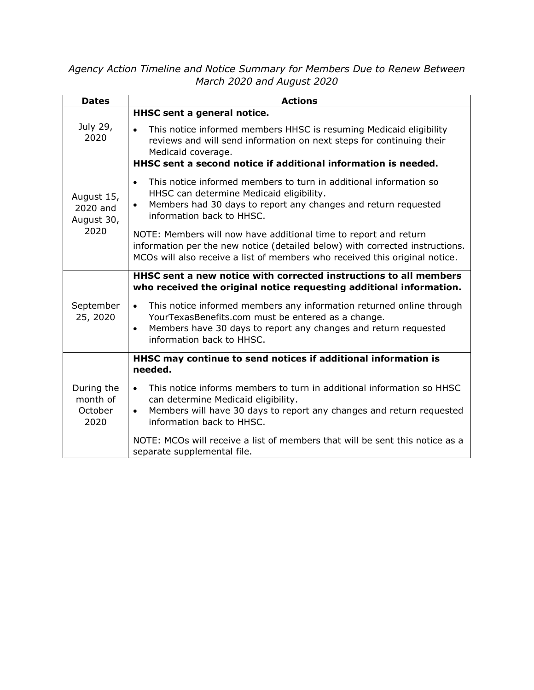#### *Agency Action Timeline and Notice Summary for Members Due to Renew Between March 2020 and August 2020*

| <b>Dates</b>                                 | <b>Actions</b>                                                                                                                                                                                                                                       |  |  |  |  |
|----------------------------------------------|------------------------------------------------------------------------------------------------------------------------------------------------------------------------------------------------------------------------------------------------------|--|--|--|--|
|                                              | HHSC sent a general notice.                                                                                                                                                                                                                          |  |  |  |  |
| July 29,<br>2020                             | This notice informed members HHSC is resuming Medicaid eligibility<br>reviews and will send information on next steps for continuing their<br>Medicaid coverage.                                                                                     |  |  |  |  |
|                                              | HHSC sent a second notice if additional information is needed.                                                                                                                                                                                       |  |  |  |  |
| August 15,<br>2020 and<br>August 30,<br>2020 | This notice informed members to turn in additional information so<br>$\bullet$<br>HHSC can determine Medicaid eligibility.<br>Members had 30 days to report any changes and return requested<br>$\bullet$<br>information back to HHSC.               |  |  |  |  |
|                                              | NOTE: Members will now have additional time to report and return<br>information per the new notice (detailed below) with corrected instructions.<br>MCOs will also receive a list of members who received this original notice.                      |  |  |  |  |
|                                              | HHSC sent a new notice with corrected instructions to all members<br>who received the original notice requesting additional information.                                                                                                             |  |  |  |  |
| September<br>25, 2020                        | This notice informed members any information returned online through<br>$\bullet$<br>YourTexasBenefits.com must be entered as a change.<br>Members have 30 days to report any changes and return requested<br>$\bullet$<br>information back to HHSC. |  |  |  |  |
|                                              | HHSC may continue to send notices if additional information is<br>needed.                                                                                                                                                                            |  |  |  |  |
| During the<br>month of<br>October<br>2020    | This notice informs members to turn in additional information so HHSC<br>$\bullet$<br>can determine Medicaid eligibility.<br>Members will have 30 days to report any changes and return requested<br>$\bullet$<br>information back to HHSC.          |  |  |  |  |
|                                              | NOTE: MCOs will receive a list of members that will be sent this notice as a<br>separate supplemental file.                                                                                                                                          |  |  |  |  |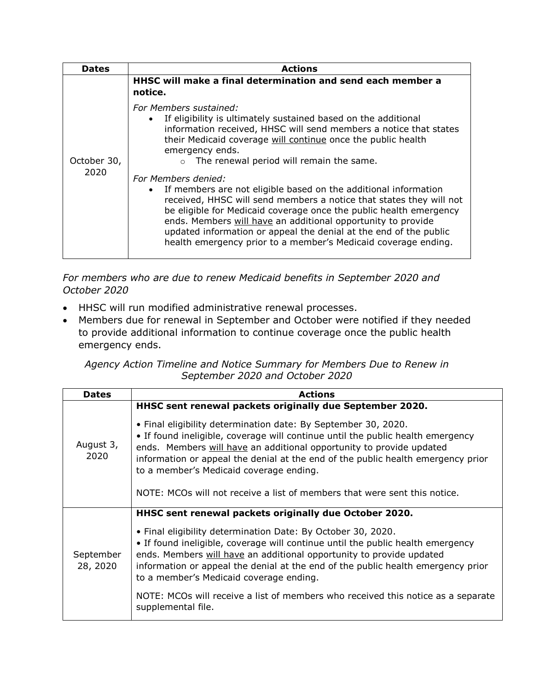| <b>Dates</b>        | <b>Actions</b>                                                                                                                                                                                                                                                                                                                                                                                                                                                                                                                                                                                                                                                                                                                                        |  |  |  |  |
|---------------------|-------------------------------------------------------------------------------------------------------------------------------------------------------------------------------------------------------------------------------------------------------------------------------------------------------------------------------------------------------------------------------------------------------------------------------------------------------------------------------------------------------------------------------------------------------------------------------------------------------------------------------------------------------------------------------------------------------------------------------------------------------|--|--|--|--|
| October 30,<br>2020 | HHSC will make a final determination and send each member a<br>notice.                                                                                                                                                                                                                                                                                                                                                                                                                                                                                                                                                                                                                                                                                |  |  |  |  |
|                     | For Members sustained:<br>If eligibility is ultimately sustained based on the additional<br>information received, HHSC will send members a notice that states<br>their Medicaid coverage will continue once the public health<br>emergency ends.<br>The renewal period will remain the same.<br>$\circ$<br>For Members denied:<br>If members are not eligible based on the additional information<br>received, HHSC will send members a notice that states they will not<br>be eligible for Medicaid coverage once the public health emergency<br>ends. Members will have an additional opportunity to provide<br>updated information or appeal the denial at the end of the public<br>health emergency prior to a member's Medicaid coverage ending. |  |  |  |  |

*For members who are due to renew Medicaid benefits in September 2020 and October 2020*

- HHSC will run modified administrative renewal processes.
- Members due for renewal in September and October were notified if they needed to provide additional information to continue coverage once the public health emergency ends.

*Agency Action Timeline and Notice Summary for Members Due to Renew in September 2020 and October 2020*

| <b>Dates</b>          | <b>Actions</b>                                                                                                                                                                                                                                                                                                                                           |  |  |  |  |
|-----------------------|----------------------------------------------------------------------------------------------------------------------------------------------------------------------------------------------------------------------------------------------------------------------------------------------------------------------------------------------------------|--|--|--|--|
|                       | HHSC sent renewal packets originally due September 2020.                                                                                                                                                                                                                                                                                                 |  |  |  |  |
| August 3,<br>2020     | • Final eligibility determination date: By September 30, 2020.<br>• If found ineligible, coverage will continue until the public health emergency<br>ends. Members will have an additional opportunity to provide updated<br>information or appeal the denial at the end of the public health emergency prior<br>to a member's Medicaid coverage ending. |  |  |  |  |
|                       | NOTE: MCOs will not receive a list of members that were sent this notice.                                                                                                                                                                                                                                                                                |  |  |  |  |
|                       | HHSC sent renewal packets originally due October 2020.                                                                                                                                                                                                                                                                                                   |  |  |  |  |
| September<br>28, 2020 | • Final eligibility determination Date: By October 30, 2020.<br>• If found ineligible, coverage will continue until the public health emergency<br>ends. Members will have an additional opportunity to provide updated<br>information or appeal the denial at the end of the public health emergency prior<br>to a member's Medicaid coverage ending.   |  |  |  |  |
|                       | NOTE: MCOs will receive a list of members who received this notice as a separate<br>supplemental file.                                                                                                                                                                                                                                                   |  |  |  |  |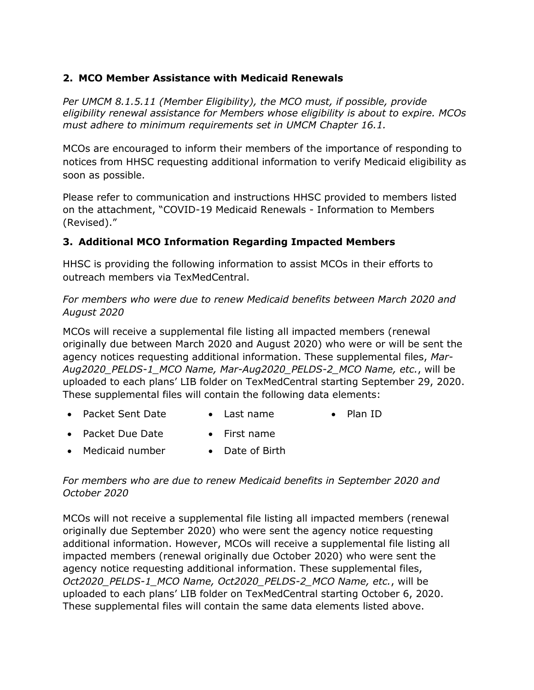#### **2. MCO Member Assistance with Medicaid Renewals**

*Per UMCM 8.1.5.11 (Member Eligibility), the MCO must, if possible, provide eligibility renewal assistance for Members whose eligibility is about to expire. MCOs must adhere to minimum requirements set in UMCM Chapter 16.1.*

MCOs are encouraged to inform their members of the importance of responding to notices from HHSC requesting additional information to verify Medicaid eligibility as soon as possible.

Please refer to communication and instructions HHSC provided to members listed on the attachment, "COVID-19 Medicaid Renewals - Information to Members (Revised)."

#### **3. Additional MCO Information Regarding Impacted Members**

HHSC is providing the following information to assist MCOs in their efforts to outreach members via TexMedCentral.

*For members who were due to renew Medicaid benefits between March 2020 and August 2020*

MCOs will receive a supplemental file listing all impacted members (renewal originally due between March 2020 and August 2020) who were or will be sent the agency notices requesting additional information. These supplemental files, *Mar-Aug2020\_PELDS-1\_MCO Name, Mar-Aug2020\_PELDS-2\_MCO Name, etc.*, will be uploaded to each plans' LIB folder on TexMedCentral starting September 29, 2020. These supplemental files will contain the following data elements:

- Packet Sent Date Last name Plan ID
- Packet Due Date First name
- Medicaid number Date of Birth

#### *For members who are due to renew Medicaid benefits in September 2020 and October 2020*

MCOs will not receive a supplemental file listing all impacted members (renewal originally due September 2020) who were sent the agency notice requesting additional information. However, MCOs will receive a supplemental file listing all impacted members (renewal originally due October 2020) who were sent the agency notice requesting additional information. These supplemental files, *Oct2020\_PELDS-1\_MCO Name, Oct2020\_PELDS-2\_MCO Name, etc.*, will be uploaded to each plans' LIB folder on TexMedCentral starting October 6, 2020. These supplemental files will contain the same data elements listed above.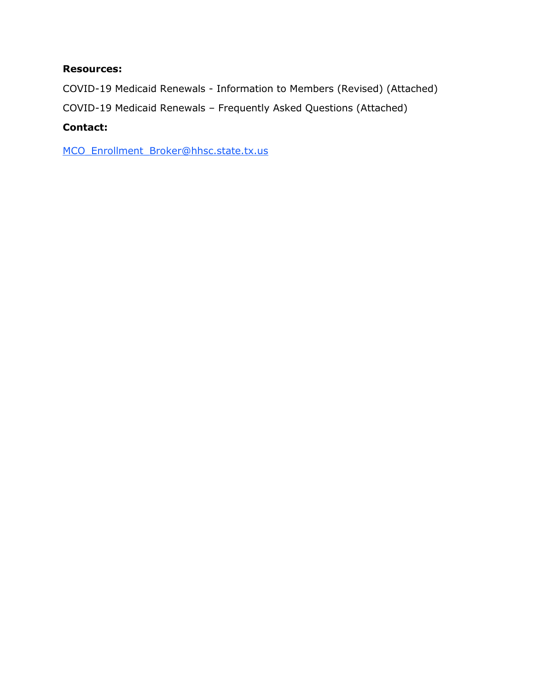#### **Resources:**

COVID-19 Medicaid Renewals - Information to Members (Revised) (Attached)

COVID-19 Medicaid Renewals – Frequently Asked Questions (Attached)

#### **Contact:**

[MCO\\_Enrollment\\_Broker@hhsc.state.tx.us](mailto:MCO_Enrollment_Broker@hhsc.state.tx.us)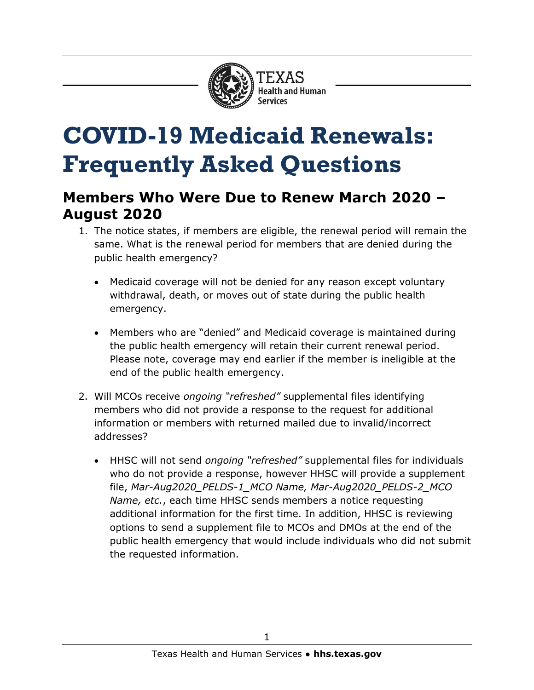

# **COVID-19 Medicaid Renewals: Frequently Asked Questions**

## **Members Who Were Due to Renew March 2020 – August 2020**

- 1. The notice states, if members are eligible, the renewal period will remain the same. What is the renewal period for members that are denied during the public health emergency?
	- Medicaid coverage will not be denied for any reason except voluntary withdrawal, death, or moves out of state during the public health emergency.
	- Members who are "denied" and Medicaid coverage is maintained during the public health emergency will retain their current renewal period. Please note, coverage may end earlier if the member is ineligible at the end of the public health emergency.
- 2. Will MCOs receive *ongoing "refreshed"* supplemental files identifying members who did not provide a response to the request for additional information or members with returned mailed due to invalid/incorrect addresses?
	- HHSC will not send *ongoing "refreshed"* supplemental files for individuals who do not provide a response, however HHSC will provide a supplement file, *Mar-Aug2020\_PELDS-1\_MCO Name, Mar-Aug2020\_PELDS-2\_MCO Name, etc.*, each time HHSC sends members a notice requesting additional information for the first time. In addition, HHSC is reviewing options to send a supplement file to MCOs and DMOs at the end of the public health emergency that would include individuals who did not submit the requested information.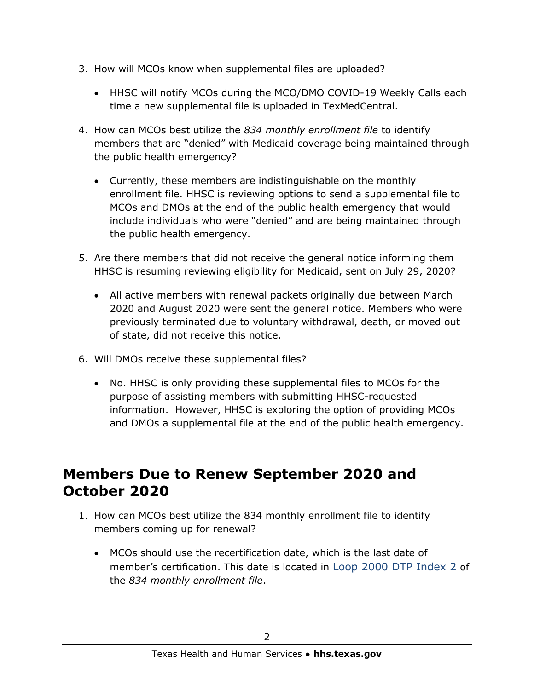- 3. How will MCOs know when supplemental files are uploaded?
	- HHSC will notify MCOs during the MCO/DMO COVID-19 Weekly Calls each time a new supplemental file is uploaded in TexMedCentral.
- 4. How can MCOs best utilize the *834 monthly enrollment file* to identify members that are "denied" with Medicaid coverage being maintained through the public health emergency?
	- Currently, these members are indistinguishable on the monthly enrollment file. HHSC is reviewing options to send a supplemental file to MCOs and DMOs at the end of the public health emergency that would include individuals who were "denied" and are being maintained through the public health emergency.
- 5. Are there members that did not receive the general notice informing them HHSC is resuming reviewing eligibility for Medicaid, sent on July 29, 2020?
	- All active members with renewal packets originally due between March 2020 and August 2020 were sent the general notice. Members who were previously terminated due to voluntary withdrawal, death, or moved out of state, did not receive this notice.
- 6. Will DMOs receive these supplemental files?
	- No. HHSC is only providing these supplemental files to MCOs for the purpose of assisting members with submitting HHSC-requested information. However, HHSC is exploring the option of providing MCOs and DMOs a supplemental file at the end of the public health emergency.

## **Members Due to Renew September 2020 and October 2020**

- 1. How can MCOs best utilize the 834 monthly enrollment file to identify members coming up for renewal?
	- MCOs should use the recertification date, which is the last date of member's certification. This date is located in Loop 2000 DTP Index 2 of the *834 monthly enrollment file*.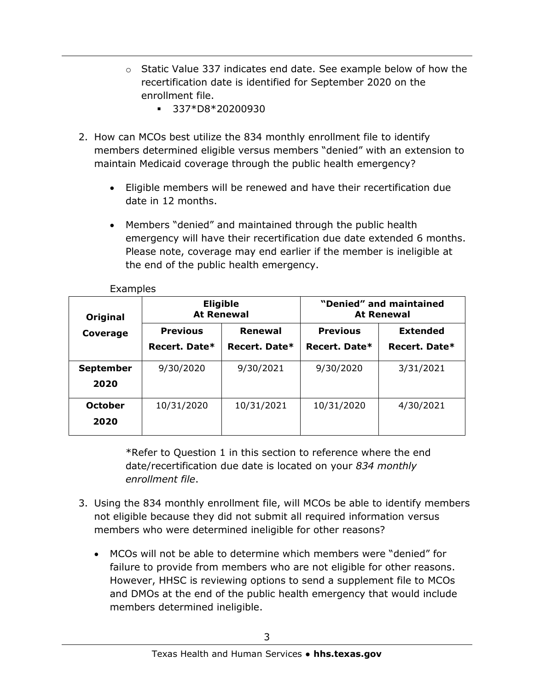- $\circ$  Static Value 337 indicates end date. See example below of how the recertification date is identified for September 2020 on the enrollment file.
	- 337\*D8\*20200930
- 2. How can MCOs best utilize the 834 monthly enrollment file to identify members determined eligible versus members "denied" with an extension to maintain Medicaid coverage through the public health emergency?
	- Eligible members will be renewed and have their recertification due date in 12 months.
	- Members "denied" and maintained through the public health emergency will have their recertification due date extended 6 months. Please note, coverage may end earlier if the member is ineligible at the end of the public health emergency.

| Original<br>Coverage | <b>Eligible</b><br><b>At Renewal</b> |               | "Denied" and maintained<br><b>At Renewal</b> |                 |
|----------------------|--------------------------------------|---------------|----------------------------------------------|-----------------|
|                      | <b>Previous</b>                      | Renewal       | <b>Previous</b>                              | <b>Extended</b> |
|                      | Recert. Date*                        | Recert. Date* | Recert. Date*                                | Recert. Date*   |
| <b>September</b>     | 9/30/2020                            | 9/30/2021     | 9/30/2020                                    | 3/31/2021       |
| 2020                 |                                      |               |                                              |                 |
| <b>October</b>       | 10/31/2020                           | 10/31/2021    | 10/31/2020                                   | 4/30/2021       |
| 2020                 |                                      |               |                                              |                 |

Examples

\*Refer to Question 1 in this section to reference where the end date/recertification due date is located on your *834 monthly enrollment file*.

- 3. Using the 834 monthly enrollment file, will MCOs be able to identify members not eligible because they did not submit all required information versus members who were determined ineligible for other reasons?
	- MCOs will not be able to determine which members were "denied" for failure to provide from members who are not eligible for other reasons. However, HHSC is reviewing options to send a supplement file to MCOs and DMOs at the end of the public health emergency that would include members determined ineligible.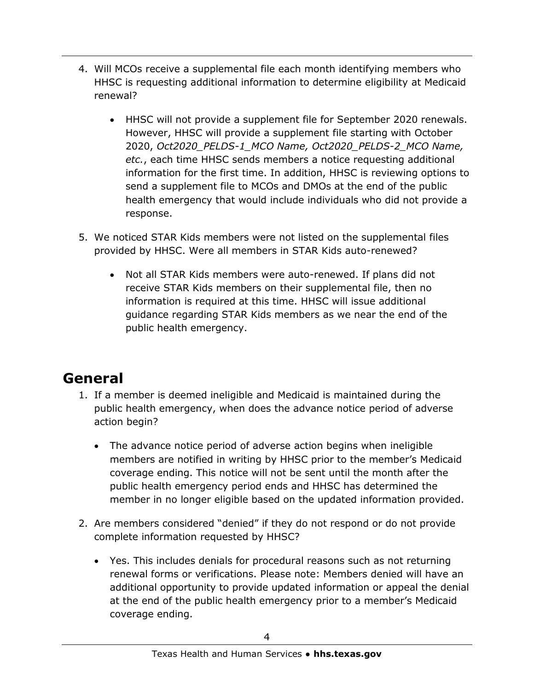- 4. Will MCOs receive a supplemental file each month identifying members who HHSC is requesting additional information to determine eligibility at Medicaid renewal?
	- HHSC will not provide a supplement file for September 2020 renewals. However, HHSC will provide a supplement file starting with October 2020, *Oct2020\_PELDS-1\_MCO Name, Oct2020\_PELDS-2\_MCO Name, etc.*, each time HHSC sends members a notice requesting additional information for the first time. In addition, HHSC is reviewing options to send a supplement file to MCOs and DMOs at the end of the public health emergency that would include individuals who did not provide a response.
- 5. We noticed STAR Kids members were not listed on the supplemental files provided by HHSC. Were all members in STAR Kids auto-renewed?
	- Not all STAR Kids members were auto-renewed. If plans did not receive STAR Kids members on their supplemental file, then no information is required at this time. HHSC will issue additional guidance regarding STAR Kids members as we near the end of the public health emergency.

## **General**

- 1. If a member is deemed ineligible and Medicaid is maintained during the public health emergency, when does the advance notice period of adverse action begin?
	- The advance notice period of adverse action begins when ineligible members are notified in writing by HHSC prior to the member's Medicaid coverage ending. This notice will not be sent until the month after the public health emergency period ends and HHSC has determined the member in no longer eligible based on the updated information provided.
- 2. Are members considered "denied" if they do not respond or do not provide complete information requested by HHSC?
	- Yes. This includes denials for procedural reasons such as not returning renewal forms or verifications. Please note: Members denied will have an additional opportunity to provide updated information or appeal the denial at the end of the public health emergency prior to a member's Medicaid coverage ending.